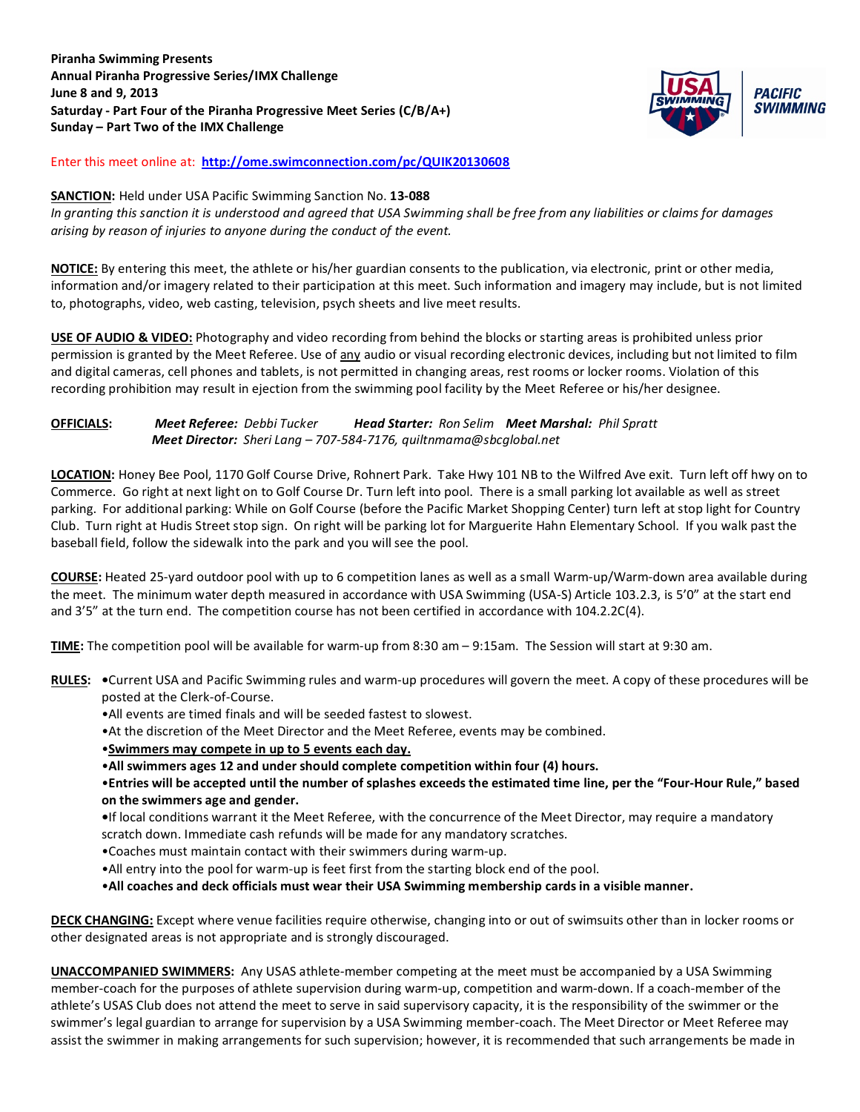**Piranha Swimming Presents Annual Piranha Progressive Series/IMX Challenge June 8 and 9, 2013 Saturday - Part Four of the Piranha Progressive Meet Series (C/B/A+) Sunday – Part Two of the IMX Challenge**



Enter this meet online at: **<http://ome.swimconnection.com/pc/QUIK20130608>**

### **SANCTION:** Held under USA Pacific Swimming Sanction No. **13-088**

*In granting this sanction it is understood and agreed that USA Swimming shall be free from any liabilities or claims for damages arising by reason of injuries to anyone during the conduct of the event.*

**NOTICE:** By entering this meet, the athlete or his/her guardian consents to the publication, via electronic, print or other media, information and/or imagery related to their participation at this meet. Such information and imagery may include, but is not limited to, photographs, video, web casting, television, psych sheets and live meet results.

**USE OF AUDIO & VIDEO:** Photography and video recording from behind the blocks or starting areas is prohibited unless prior permission is granted by the Meet Referee. Use of any audio or visual recording electronic devices, including but not limited to film and digital cameras, cell phones and tablets, is not permitted in changing areas, rest rooms or locker rooms. Violation of this recording prohibition may result in ejection from the swimming pool facility by the Meet Referee or his/her designee.

## **OFFICIALS:** *Meet Referee: Debbi Tucker Head Starter: Ron Selim Meet Marshal: Phil Spratt Meet Director: Sheri Lang – 707-584-7176, quiltnmama@sbcglobal.net*

**LOCATION:** Honey Bee Pool, 1170 Golf Course Drive, Rohnert Park. Take Hwy 101 NB to the Wilfred Ave exit. Turn left off hwy on to Commerce. Go right at next light on to Golf Course Dr. Turn left into pool. There is a small parking lot available as well as street parking. For additional parking: While on Golf Course (before the Pacific Market Shopping Center) turn left at stop light for Country Club. Turn right at Hudis Street stop sign. On right will be parking lot for Marguerite Hahn Elementary School. If you walk past the baseball field, follow the sidewalk into the park and you will see the pool.

**COURSE:** Heated 25-yard outdoor pool with up to 6 competition lanes as well as a small Warm-up/Warm-down area available during the meet. The minimum water depth measured in accordance with USA Swimming (USA-S) Article 103.2.3, is 5'0" at the start end and 3'5" at the turn end. The competition course has not been certified in accordance with 104.2.2C(4).

**TIME:** The competition pool will be available for warm-up from 8:30 am – 9:15am. The Session will start at 9:30 am.

- **RULES: •**Current USA and Pacific Swimming rules and warm-up procedures will govern the meet. A copy of these procedures will be posted at the Clerk-of-Course.
	- •All events are timed finals and will be seeded fastest to slowest.
	- •At the discretion of the Meet Director and the Meet Referee, events may be combined.
	- •**Swimmers may compete in up to 5 events each day.**
	- •**All swimmers ages 12 and under should complete competition within four (4) hours.**

•**Entries will be accepted until the number of splashes exceeds the estimated time line, per the "Four-Hour Rule," based on the swimmers age and gender.** 

**•**If local conditions warrant it the Meet Referee, with the concurrence of the Meet Director, may require a mandatory

- scratch down. Immediate cash refunds will be made for any mandatory scratches.
- •Coaches must maintain contact with their swimmers during warm-up.
- •All entry into the pool for warm-up is feet first from the starting block end of the pool.
- •**All coaches and deck officials must wear their USA Swimming membership cards in a visible manner.**

**DECK CHANGING:** Except where venue facilities require otherwise, changing into or out of swimsuits other than in locker rooms or other designated areas is not appropriate and is strongly discouraged.

**UNACCOMPANIED SWIMMERS:** Any USAS athlete-member competing at the meet must be accompanied by a USA Swimming member-coach for the purposes of athlete supervision during warm-up, competition and warm-down. If a coach-member of the athlete's USAS Club does not attend the meet to serve in said supervisory capacity, it is the responsibility of the swimmer or the swimmer's legal guardian to arrange for supervision by a USA Swimming member-coach. The Meet Director or Meet Referee may assist the swimmer in making arrangements for such supervision; however, it is recommended that such arrangements be made in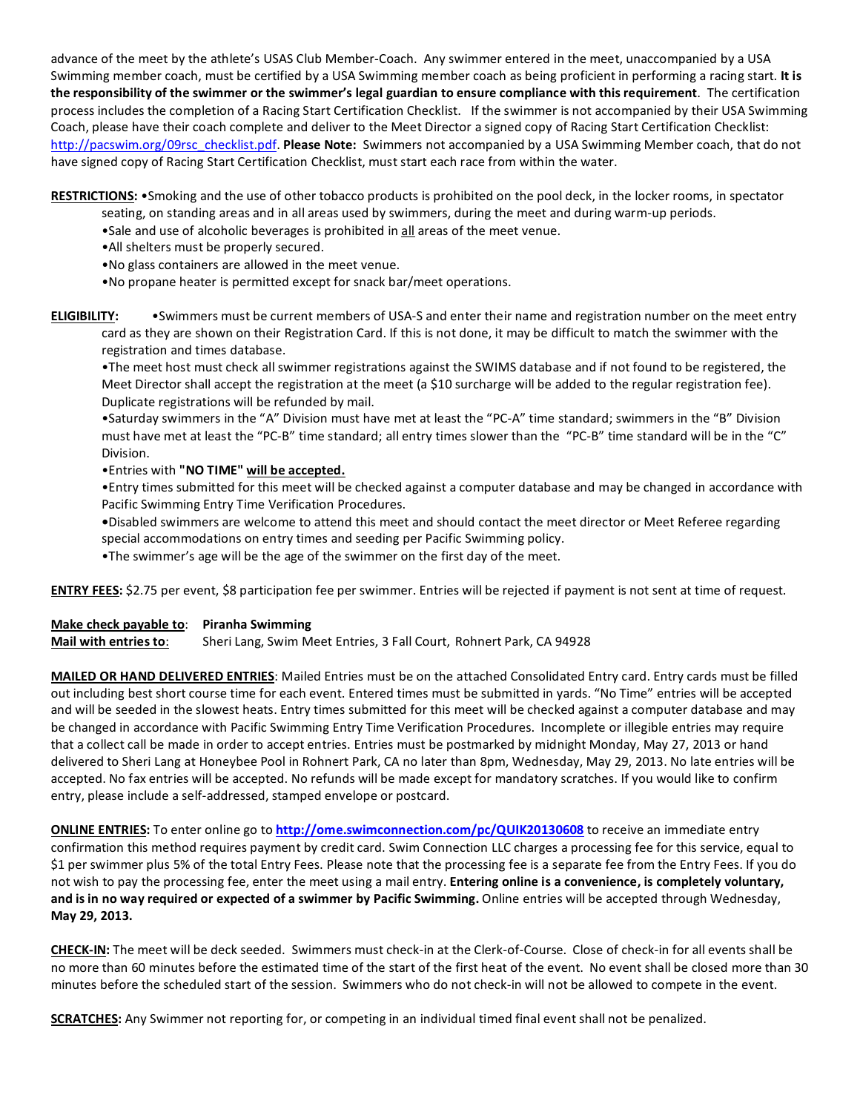advance of the meet by the athlete's USAS Club Member-Coach. Any swimmer entered in the meet, unaccompanied by a USA Swimming member coach, must be certified by a USA Swimming member coach as being proficient in performing a racing start. **It is the responsibility of the swimmer or the swimmer's legal guardian to ensure compliance with this requirement**. The certification process includes the completion of a Racing Start Certification Checklist. If the swimmer is not accompanied by their USA Swimming Coach, please have their coach complete and deliver to the Meet Director a signed copy of Racing Start Certification Checklist: [http://pacswim.org/09rsc\\_checklist.pdf.](http://pacswim.org/09rsc_checklist.pdf) **Please Note:** Swimmers not accompanied by a USA Swimming Member coach, that do not have signed copy of Racing Start Certification Checklist, must start each race from within the water.

**RESTRICTIONS:** •Smoking and the use of other tobacco products is prohibited on the pool deck, in the locker rooms, in spectator

- seating, on standing areas and in all areas used by swimmers, during the meet and during warm-up periods.
- •Sale and use of alcoholic beverages is prohibited in all areas of the meet venue.
- •All shelters must be properly secured.
- •No glass containers are allowed in the meet venue.
- •No propane heater is permitted except for snack bar/meet operations.

**ELIGIBILITY:** •Swimmers must be current members of USA-S and enter their name and registration number on the meet entry card as they are shown on their Registration Card. If this is not done, it may be difficult to match the swimmer with the registration and times database.

•The meet host must check all swimmer registrations against the SWIMS database and if not found to be registered, the Meet Director shall accept the registration at the meet (a \$10 surcharge will be added to the regular registration fee). Duplicate registrations will be refunded by mail.

•Saturday swimmers in the "A" Division must have met at least the "PC-A" time standard; swimmers in the "B" Division must have met at least the "PC-B" time standard; all entry times slower than the "PC-B" time standard will be in the "C" Division.

•Entries with **"NO TIME" will be accepted.**

•Entry times submitted for this meet will be checked against a computer database and may be changed in accordance with Pacific Swimming Entry Time Verification Procedures.

**•**Disabled swimmers are welcome to attend this meet and should contact the meet director or Meet Referee regarding special accommodations on entry times and seeding per Pacific Swimming policy.

•The swimmer's age will be the age of the swimmer on the first day of the meet.

**ENTRY FEES:** \$2.75 per event, \$8 participation fee per swimmer. Entries will be rejected if payment is not sent at time of request.

# **Make check payable to**: **Piranha Swimming**

**Mail with entries to**: Sheri Lang, Swim Meet Entries, 3 Fall Court, Rohnert Park, CA 94928

**MAILED OR HAND DELIVERED ENTRIES**: Mailed Entries must be on the attached Consolidated Entry card. Entry cards must be filled out including best short course time for each event. Entered times must be submitted in yards. "No Time" entries will be accepted and will be seeded in the slowest heats. Entry times submitted for this meet will be checked against a computer database and may be changed in accordance with Pacific Swimming Entry Time Verification Procedures. Incomplete or illegible entries may require that a collect call be made in order to accept entries. Entries must be postmarked by midnight Monday, May 27, 2013 or hand delivered to Sheri Lang at Honeybee Pool in Rohnert Park, CA no later than 8pm, Wednesday, May 29, 2013. No late entries will be accepted. No fax entries will be accepted. No refunds will be made except for mandatory scratches. If you would like to confirm entry, please include a self-addressed, stamped envelope or postcard.

**ONLINE ENTRIES:** To enter online go to **<http://ome.swimconnection.com/pc/QUIK20130608>** to receive an immediate entry confirmation this method requires payment by credit card. Swim Connection LLC charges a processing fee for this service, equal to \$1 per swimmer plus 5% of the total Entry Fees. Please note that the processing fee is a separate fee from the Entry Fees. If you do not wish to pay the processing fee, enter the meet using a mail entry. **Entering online is a convenience, is completely voluntary, and is in no way required or expected of a swimmer by Pacific Swimming.** Online entries will be accepted through Wednesday, **May 29, 2013.**

**CHECK-IN:** The meet will be deck seeded. Swimmers must check-in at the Clerk-of-Course. Close of check-in for all events shall be no more than 60 minutes before the estimated time of the start of the first heat of the event. No event shall be closed more than 30 minutes before the scheduled start of the session. Swimmers who do not check-in will not be allowed to compete in the event.

**SCRATCHES:** Any Swimmer not reporting for, or competing in an individual timed final event shall not be penalized.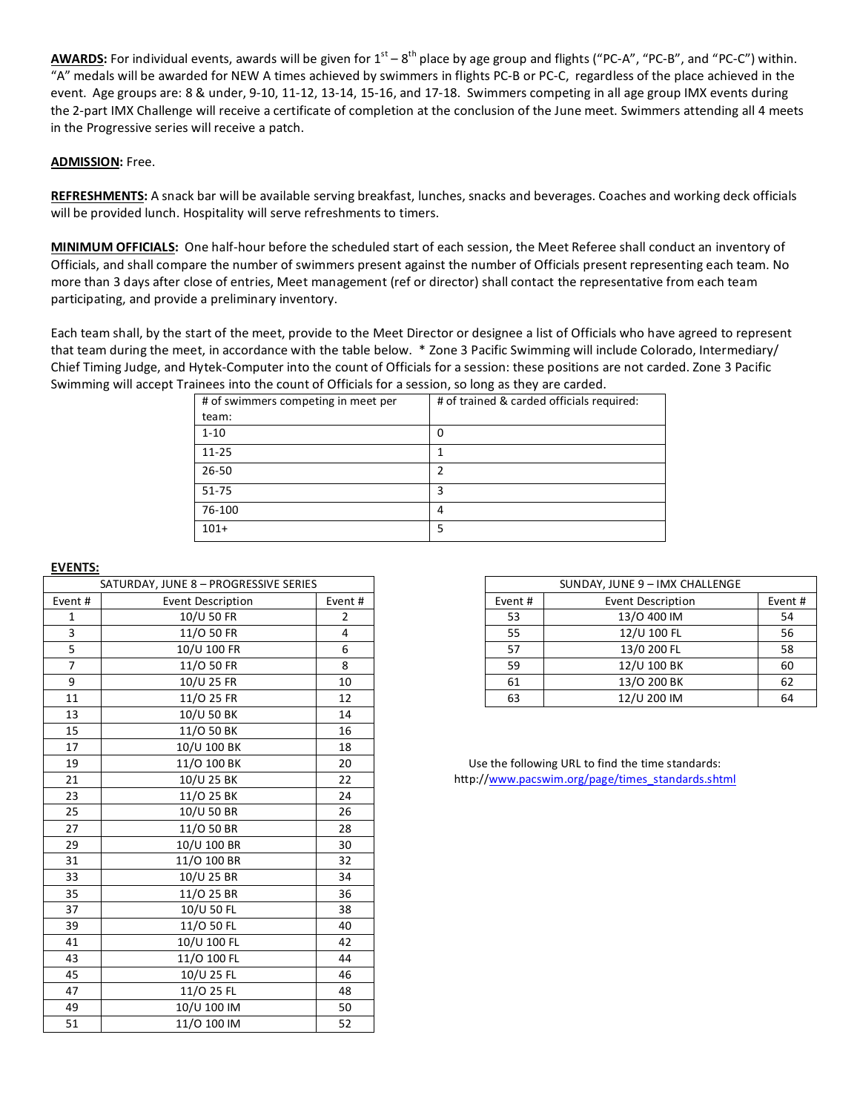AWARDS: For individual events, awards will be given for 1<sup>st</sup> – 8<sup>th</sup> place by age group and flights ("PC-A", "PC-B", and "PC-C") within. "A" medals will be awarded for NEW A times achieved by swimmers in flights PC-B or PC-C, regardless of the place achieved in the event. Age groups are: 8 & under, 9-10, 11-12, 13-14, 15-16, and 17-18. Swimmers competing in all age group IMX events during the 2-part IMX Challenge will receive a certificate of completion at the conclusion of the June meet. Swimmers attending all 4 meets in the Progressive series will receive a patch.

### **ADMISSION:** Free.

**REFRESHMENTS:** A snack bar will be available serving breakfast, lunches, snacks and beverages. Coaches and working deck officials will be provided lunch. Hospitality will serve refreshments to timers.

**MINIMUM OFFICIALS:** One half-hour before the scheduled start of each session, the Meet Referee shall conduct an inventory of Officials, and shall compare the number of swimmers present against the number of Officials present representing each team. No more than 3 days after close of entries, Meet management (ref or director) shall contact the representative from each team participating, and provide a preliminary inventory.

Each team shall, by the start of the meet, provide to the Meet Director or designee a list of Officials who have agreed to represent that team during the meet, in accordance with the table below. \* Zone 3 Pacific Swimming will include Colorado, Intermediary/ Chief Timing Judge, and Hytek-Computer into the count of Officials for a session: these positions are not carded. Zone 3 Pacific Swimming will accept Trainees into the count of Officials for a session, so long as they are carded.

| # of swimmers competing in meet per | # of trained & carded officials required: |
|-------------------------------------|-------------------------------------------|
| team:                               |                                           |
| $1 - 10$                            | 0                                         |
| $11 - 25$                           |                                           |
| $26 - 50$                           | 2                                         |
| 51-75                               | 3                                         |
| 76-100                              | 4                                         |
| $101+$                              | 5                                         |

#### **EVENTS:**

|                | SATURDAY, JUNE 8 - PROGRESSIVE SERIES |                |         | SUNDAY, JUNE 9 - IMX CHALLENGE                    |
|----------------|---------------------------------------|----------------|---------|---------------------------------------------------|
| Event #        | Event Description                     | Event #        | Event # | Event Description                                 |
| 1              | 10/U 50 FR                            | $\overline{2}$ | 53      | 13/0 400 IM                                       |
| 3              | 11/O 50 FR                            | 4              | 55      | 12/U 100 FL                                       |
| 5              | 10/U 100 FR                           | 6              | 57      | 13/0 200 FL                                       |
| $\overline{7}$ | 11/0 50 FR                            | 8              | 59      | 12/U 100 BK                                       |
| 9              | 10/U 25 FR                            | 10             | 61      | 13/O 200 BK                                       |
| 11             | 11/0 25 FR                            | 12             | 63      | 12/U 200 IM                                       |
| 13             | 10/U 50 BK                            | 14             |         |                                                   |
| 15             | 11/0 50 BK                            | 16             |         |                                                   |
| 17             | 10/U 100 BK                           | 18             |         |                                                   |
| 19             | 11/0 100 BK                           | 20             |         | Use the following URL to find the time standards: |
| 21             | 10/U 25 BK                            | 22             |         | http://www.pacswim.org/page/times_standards.shtml |
| 23             | 11/0 25 BK                            | 24             |         |                                                   |
| 25             | 10/U 50 BR                            | 26             |         |                                                   |
| 27             | 11/0 50 BR                            | 28             |         |                                                   |
| 29             | 10/U 100 BR                           | 30             |         |                                                   |
| 31             | 11/O 100 BR                           | 32             |         |                                                   |
| 33             | 10/U 25 BR                            | 34             |         |                                                   |
| 35             | 11/0 25 BR                            | 36             |         |                                                   |
| 37             | 10/U 50 FL                            | 38             |         |                                                   |
| 39             | 11/0 50 FL                            | 40             |         |                                                   |
| 41             | 10/U 100 FL                           | 42             |         |                                                   |
| 43             | 11/0 100 FL                           | 44             |         |                                                   |
| 45             | 10/U 25 FL                            | 46             |         |                                                   |
| 47             | 11/0 25 FL                            | 48             |         |                                                   |
| 49             | 10/U 100 IM                           | 50             |         |                                                   |
| 51             | 11/0 100 IM                           | 52             |         |                                                   |
|                |                                       |                |         |                                                   |

| SATURDAY, JUNE 8 - PROGRESSIVE SERIES |                   |         |         |                   |         |
|---------------------------------------|-------------------|---------|---------|-------------------|---------|
| Event #                               | Event Description | Event # | Event # | Event Description | Event # |
|                                       | 10/U 50 FR        |         | 53      | 13/0 400 IM       | 54      |
|                                       | 11/0 50 FR        |         | 55      | 12/U 100 FL       | 56      |
|                                       | 10/U 100 FR       |         | 57      | 13/0 200 FL       | 58      |
|                                       | 11/0 50 FR        |         | 59      | 12/U 100 BK       | 60      |
|                                       | 10/U 25 FR        | 10      | 61      | 13/0 200 BK       | 62      |
|                                       | 11/0 25 FR        | 12      | 63      | 12/U 200 IM       | 64      |